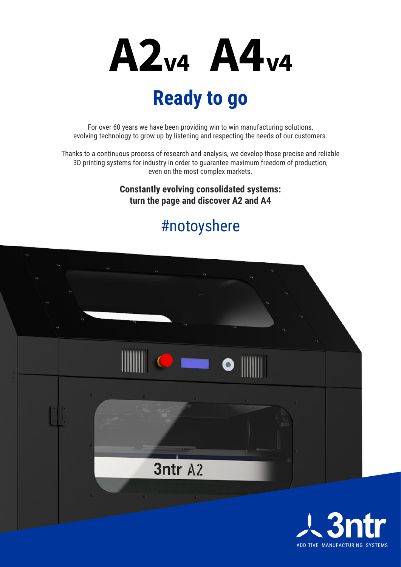

## **Ready to go**

For over 60 years we have been providing win to win manufacturing solutions, evolving technology to grow up by listening and respecting the needs of our customers.

Thanks to a continuous process of research and analysis, we develop those precise and reliable 3D printing systems for industry in order to guarantee maximum freedom of production, even on the most complex markets.

> **Constantly evolving consolidated systems: turn the page and discover A2 and A4**

### #notoyshere



ADDITIVE MANUFACTURING SYSTEMS